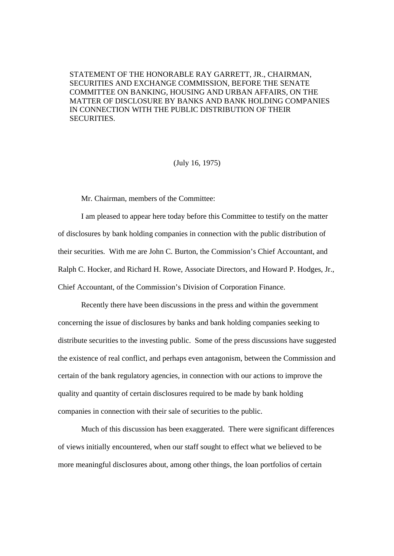STATEMENT OF THE HONORABLE RAY GARRETT, JR., CHAIRMAN, SECURITIES AND EXCHANGE COMMISSION, BEFORE THE SENATE COMMITTEE ON BANKING, HOUSING AND URBAN AFFAIRS, ON THE MATTER OF DISCLOSURE BY BANKS AND BANK HOLDING COMPANIES IN CONNECTION WITH THE PUBLIC DISTRIBUTION OF THEIR SECURITIES.

#### (July 16, 1975)

Mr. Chairman, members of the Committee:

I am pleased to appear here today before this Committee to testify on the matter of disclosures by bank holding companies in connection with the public distribution of their securities. With me are John C. Burton, the Commission's Chief Accountant, and Ralph C. Hocker, and Richard H. Rowe, Associate Directors, and Howard P. Hodges, Jr., Chief Accountant, of the Commission's Division of Corporation Finance.

Recently there have been discussions in the press and within the government concerning the issue of disclosures by banks and bank holding companies seeking to distribute securities to the investing public. Some of the press discussions have suggested the existence of real conflict, and perhaps even antagonism, between the Commission and certain of the bank regulatory agencies, in connection with our actions to improve the quality and quantity of certain disclosures required to be made by bank holding companies in connection with their sale of securities to the public.

Much of this discussion has been exaggerated. There were significant differences of views initially encountered, when our staff sought to effect what we believed to be more meaningful disclosures about, among other things, the loan portfolios of certain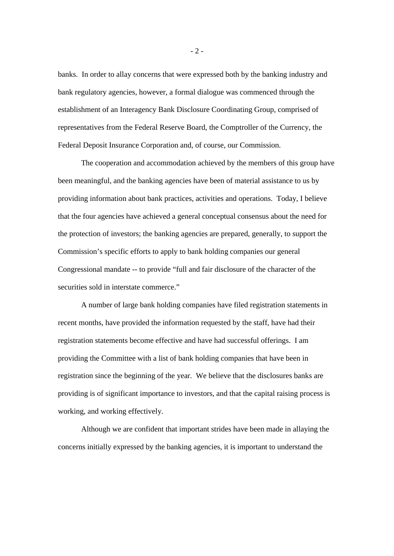banks. In order to allay concerns that were expressed both by the banking industry and bank regulatory agencies, however, a formal dialogue was commenced through the establishment of an Interagency Bank Disclosure Coordinating Group, comprised of representatives from the Federal Reserve Board, the Comptroller of the Currency, the Federal Deposit Insurance Corporation and, of course, our Commission.

The cooperation and accommodation achieved by the members of this group have been meaningful, and the banking agencies have been of material assistance to us by providing information about bank practices, activities and operations. Today, I believe that the four agencies have achieved a general conceptual consensus about the need for the protection of investors; the banking agencies are prepared, generally, to support the Commission's specific efforts to apply to bank holding companies our general Congressional mandate -- to provide "full and fair disclosure of the character of the securities sold in interstate commerce."

A number of large bank holding companies have filed registration statements in recent months, have provided the information requested by the staff, have had their registration statements become effective and have had successful offerings. I am providing the Committee with a list of bank holding companies that have been in registration since the beginning of the year. We believe that the disclosures banks are providing is of significant importance to investors, and that the capital raising process is working, and working effectively.

Although we are confident that important strides have been made in allaying the concerns initially expressed by the banking agencies, it is important to understand the

- 2 -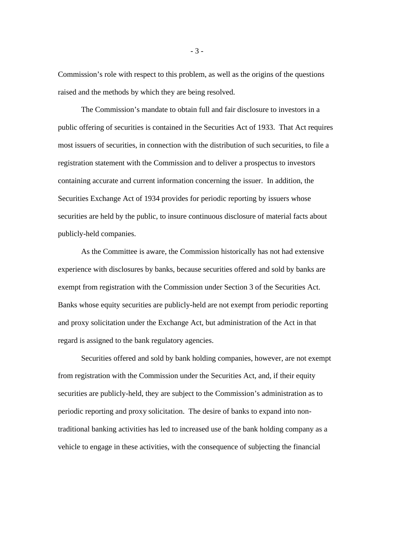Commission's role with respect to this problem, as well as the origins of the questions raised and the methods by which they are being resolved.

The Commission's mandate to obtain full and fair disclosure to investors in a public offering of securities is contained in the Securities Act of 1933. That Act requires most issuers of securities, in connection with the distribution of such securities, to file a registration statement with the Commission and to deliver a prospectus to investors containing accurate and current information concerning the issuer. In addition, the Securities Exchange Act of 1934 provides for periodic reporting by issuers whose securities are held by the public, to insure continuous disclosure of material facts about publicly-held companies.

As the Committee is aware, the Commission historically has not had extensive experience with disclosures by banks, because securities offered and sold by banks are exempt from registration with the Commission under Section 3 of the Securities Act. Banks whose equity securities are publicly-held are not exempt from periodic reporting and proxy solicitation under the Exchange Act, but administration of the Act in that regard is assigned to the bank regulatory agencies.

Securities offered and sold by bank holding companies, however, are not exempt from registration with the Commission under the Securities Act, and, if their equity securities are publicly-held, they are subject to the Commission's administration as to periodic reporting and proxy solicitation. The desire of banks to expand into nontraditional banking activities has led to increased use of the bank holding company as a vehicle to engage in these activities, with the consequence of subjecting the financial

- 3 -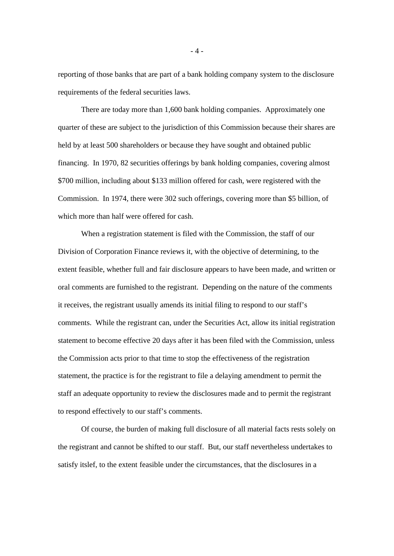reporting of those banks that are part of a bank holding company system to the disclosure requirements of the federal securities laws.

There are today more than 1,600 bank holding companies. Approximately one quarter of these are subject to the jurisdiction of this Commission because their shares are held by at least 500 shareholders or because they have sought and obtained public financing. In 1970, 82 securities offerings by bank holding companies, covering almost \$700 million, including about \$133 million offered for cash, were registered with the Commission. In 1974, there were 302 such offerings, covering more than \$5 billion, of which more than half were offered for cash.

When a registration statement is filed with the Commission, the staff of our Division of Corporation Finance reviews it, with the objective of determining, to the extent feasible, whether full and fair disclosure appears to have been made, and written or oral comments are furnished to the registrant. Depending on the nature of the comments it receives, the registrant usually amends its initial filing to respond to our staff's comments. While the registrant can, under the Securities Act, allow its initial registration statement to become effective 20 days after it has been filed with the Commission, unless the Commission acts prior to that time to stop the effectiveness of the registration statement, the practice is for the registrant to file a delaying amendment to permit the staff an adequate opportunity to review the disclosures made and to permit the registrant to respond effectively to our staff's comments.

Of course, the burden of making full disclosure of all material facts rests solely on the registrant and cannot be shifted to our staff. But, our staff nevertheless undertakes to satisfy itslef, to the extent feasible under the circumstances, that the disclosures in a

- 4 -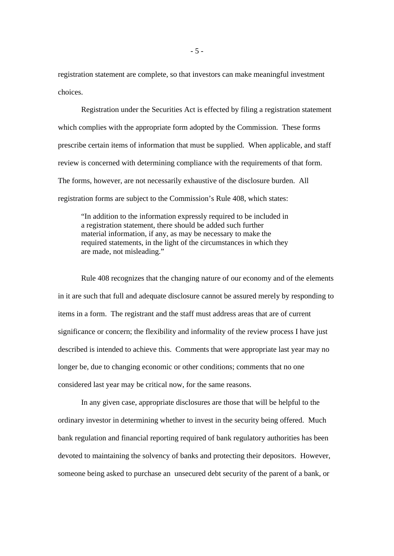registration statement are complete, so that investors can make meaningful investment choices.

Registration under the Securities Act is effected by filing a registration statement which complies with the appropriate form adopted by the Commission. These forms prescribe certain items of information that must be supplied. When applicable, and staff review is concerned with determining compliance with the requirements of that form. The forms, however, are not necessarily exhaustive of the disclosure burden. All registration forms are subject to the Commission's Rule 408, which states:

"In addition to the information expressly required to be included in a registration statement, there should be added such further material information, if any, as may be necessary to make the required statements, in the light of the circumstances in which they are made, not misleading."

Rule 408 recognizes that the changing nature of our economy and of the elements in it are such that full and adequate disclosure cannot be assured merely by responding to items in a form. The registrant and the staff must address areas that are of current significance or concern; the flexibility and informality of the review process I have just described is intended to achieve this. Comments that were appropriate last year may no longer be, due to changing economic or other conditions; comments that no one considered last year may be critical now, for the same reasons.

In any given case, appropriate disclosures are those that will be helpful to the ordinary investor in determining whether to invest in the security being offered. Much bank regulation and financial reporting required of bank regulatory authorities has been devoted to maintaining the solvency of banks and protecting their depositors. However, someone being asked to purchase an unsecured debt security of the parent of a bank, or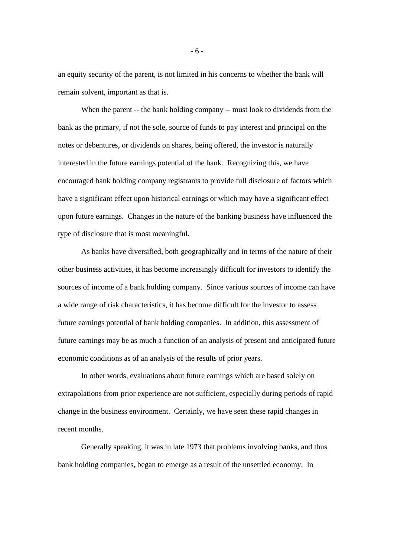an equity security of the parent, is not limited in his concerns to whether the bank will remain solvent, important as that is.

When the parent -- the bank holding company -- must look to dividends from the bank as the primary, if not the sole, source of funds to pay interest and principal on the notes or debentures, or dividends on shares, being offered, the investor is naturally interested in the future earnings potential of the bank. Recognizing this, we have encouraged bank holding company registrants to provide full disclosure of factors which have a significant effect upon historical earnings or which may have a significant effect upon future earnings. Changes in the nature of the banking business have influenced the type of disclosure that is most meaningful.

As banks have diversified, both geographically and in terms of the nature of their other business activities, it has become increasingly difficult for investors to identify the sources of income of a bank holding company. Since various sources of income can have a wide range of risk characteristics, it has become difficult for the investor to assess future earnings potential of bank holding companies. In addition, this assessment of future earnings may be as much a function of an analysis of present and anticipated future economic conditions as of an analysis of the results of prior years.

In other words, evaluations about future earnings which are based solely on extrapolations from prior experience are not sufficient, especially during periods of rapid change in the business environment. Certainly, we have seen these rapid changes in recent months.

Generally speaking, it was in late 1973 that problems involving banks, and thus bank holding companies, began to emerge as a result of the unsettled economy. In

- 6 -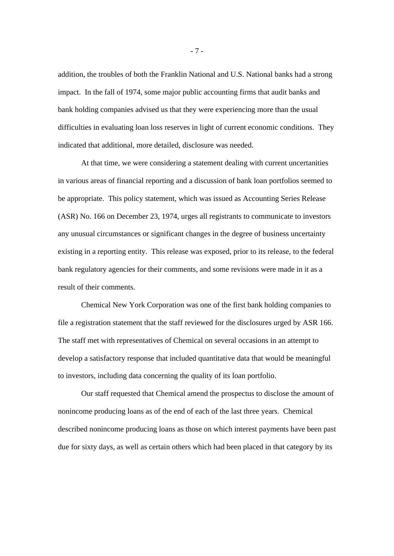addition, the troubles of both the Franklin National and U.S. National banks had a strong impact. In the fall of 1974, some major public accounting firms that audit banks and bank holding companies advised us that they were experiencing more than the usual difficulties in evaluating loan loss reserves in light of current economic conditions. They indicated that additional, more detailed, disclosure was needed.

At that time, we were considering a statement dealing with current uncertanities in various areas of financial reporting and a discussion of bank loan portfolios seemed to be appropriate. This policy statement, which was issued as Accounting Series Release (ASR) No. 166 on December 23, 1974, urges all registrants to communicate to investors any unusual circumstances or significant changes in the degree of business uncertainty existing in a reporting entity. This release was exposed, prior to its release, to the federal bank regulatory agencies for their comments, and some revisions were made in it as a result of their comments.

Chemical New York Corporation was one of the first bank holding companies to file a registration statement that the staff reviewed for the disclosures urged by ASR 166. The staff met with representatives of Chemical on several occasions in an attempt to develop a satisfactory response that included quantitative data that would be meaningful to investors, including data concerning the quality of its loan portfolio.

Our staff requested that Chemical amend the prospectus to disclose the amount of nonincome producing loans as of the end of each of the last three years. Chemical described nonincome producing loans as those on which interest payments have been past due for sixty days, as well as certain others which had been placed in that category by its

- 7 -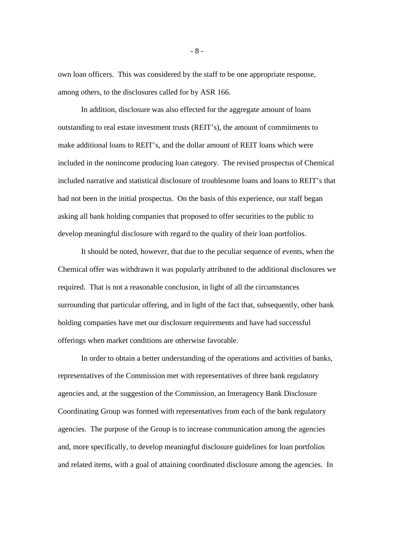own loan officers. This was considered by the staff to be one appropriate response, among others, to the disclosures called for by ASR 166.

In addition, disclosure was also effected for the aggregate amount of loans outstanding to real estate investment trusts (REIT's), the amount of commitments to make additional loans to REIT's, and the dollar amount of REIT loans which were included in the nonincome producing loan category. The revised prospectus of Chemical included narrative and statistical disclosure of troublesome loans and loans to REIT's that had not been in the initial prospectus. On the basis of this experience, our staff began asking all bank holding companies that proposed to offer securities to the public to develop meaningful disclosure with regard to the quality of their loan portfolios.

It should be noted, however, that due to the peculiar sequence of events, when the Chemical offer was withdrawn it was popularly attributed to the additional disclosures we required. That is not a reasonable conclusion, in light of all the circumstances surrounding that particular offering, and in light of the fact that, subsequently, other bank holding companies have met our disclosure requirements and have had successful offerings when market conditions are otherwise favorable.

In order to obtain a better understanding of the operations and activities of banks, representatives of the Commission met with representatives of three bank regulatory agencies and, at the suggestion of the Commission, an Interagency Bank Disclosure Coordinating Group was formed with representatives from each of the bank regulatory agencies. The purpose of the Group is to increase communication among the agencies and, more specifically, to develop meaningful disclosure guidelines for loan portfolios and related items, with a goal of attaining coordinated disclosure among the agencies. In

- 8 -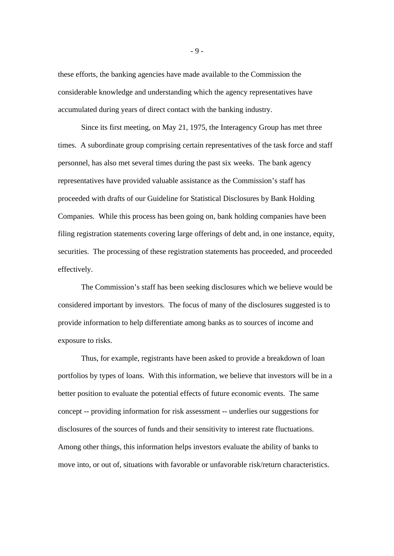these efforts, the banking agencies have made available to the Commission the considerable knowledge and understanding which the agency representatives have accumulated during years of direct contact with the banking industry.

Since its first meeting, on May 21, 1975, the Interagency Group has met three times. A subordinate group comprising certain representatives of the task force and staff personnel, has also met several times during the past six weeks. The bank agency representatives have provided valuable assistance as the Commission's staff has proceeded with drafts of our Guideline for Statistical Disclosures by Bank Holding Companies. While this process has been going on, bank holding companies have been filing registration statements covering large offerings of debt and, in one instance, equity, securities. The processing of these registration statements has proceeded, and proceeded effectively.

The Commission's staff has been seeking disclosures which we believe would be considered important by investors. The focus of many of the disclosures suggested is to provide information to help differentiate among banks as to sources of income and exposure to risks.

Thus, for example, registrants have been asked to provide a breakdown of loan portfolios by types of loans. With this information, we believe that investors will be in a better position to evaluate the potential effects of future economic events. The same concept -- providing information for risk assessment -- underlies our suggestions for disclosures of the sources of funds and their sensitivity to interest rate fluctuations. Among other things, this information helps investors evaluate the ability of banks to move into, or out of, situations with favorable or unfavorable risk/return characteristics.

- 9 -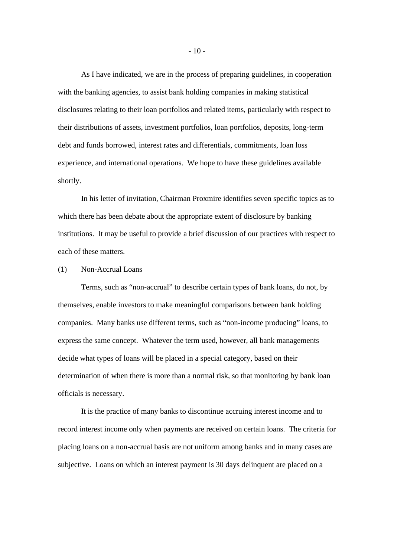As I have indicated, we are in the process of preparing guidelines, in cooperation with the banking agencies, to assist bank holding companies in making statistical disclosures relating to their loan portfolios and related items, particularly with respect to their distributions of assets, investment portfolios, loan portfolios, deposits, long-term debt and funds borrowed, interest rates and differentials, commitments, loan loss experience, and international operations. We hope to have these guidelines available shortly.

In his letter of invitation, Chairman Proxmire identifies seven specific topics as to which there has been debate about the appropriate extent of disclosure by banking institutions. It may be useful to provide a brief discussion of our practices with respect to each of these matters.

#### (1) Non-Accrual Loans

Terms, such as "non-accrual" to describe certain types of bank loans, do not, by themselves, enable investors to make meaningful comparisons between bank holding companies. Many banks use different terms, such as "non-income producing" loans, to express the same concept. Whatever the term used, however, all bank managements decide what types of loans will be placed in a special category, based on their determination of when there is more than a normal risk, so that monitoring by bank loan officials is necessary.

It is the practice of many banks to discontinue accruing interest income and to record interest income only when payments are received on certain loans. The criteria for placing loans on a non-accrual basis are not uniform among banks and in many cases are subjective. Loans on which an interest payment is 30 days delinquent are placed on a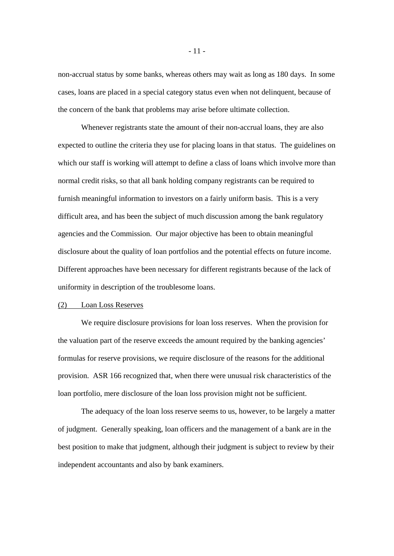non-accrual status by some banks, whereas others may wait as long as 180 days. In some cases, loans are placed in a special category status even when not delinquent, because of the concern of the bank that problems may arise before ultimate collection.

Whenever registrants state the amount of their non-accrual loans, they are also expected to outline the criteria they use for placing loans in that status. The guidelines on which our staff is working will attempt to define a class of loans which involve more than normal credit risks, so that all bank holding company registrants can be required to furnish meaningful information to investors on a fairly uniform basis. This is a very difficult area, and has been the subject of much discussion among the bank regulatory agencies and the Commission. Our major objective has been to obtain meaningful disclosure about the quality of loan portfolios and the potential effects on future income. Different approaches have been necessary for different registrants because of the lack of uniformity in description of the troublesome loans.

# (2) Loan Loss Reserves

We require disclosure provisions for loan loss reserves. When the provision for the valuation part of the reserve exceeds the amount required by the banking agencies' formulas for reserve provisions, we require disclosure of the reasons for the additional provision. ASR 166 recognized that, when there were unusual risk characteristics of the loan portfolio, mere disclosure of the loan loss provision might not be sufficient.

The adequacy of the loan loss reserve seems to us, however, to be largely a matter of judgment. Generally speaking, loan officers and the management of a bank are in the best position to make that judgment, although their judgment is subject to review by their independent accountants and also by bank examiners.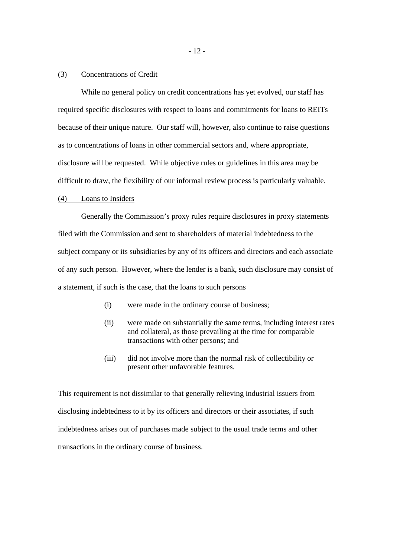#### (3) Concentrations of Credit

While no general policy on credit concentrations has yet evolved, our staff has required specific disclosures with respect to loans and commitments for loans to REITs because of their unique nature. Our staff will, however, also continue to raise questions as to concentrations of loans in other commercial sectors and, where appropriate, disclosure will be requested. While objective rules or guidelines in this area may be difficult to draw, the flexibility of our informal review process is particularly valuable.

## (4) Loans to Insiders

Generally the Commission's proxy rules require disclosures in proxy statements filed with the Commission and sent to shareholders of material indebtedness to the subject company or its subsidiaries by any of its officers and directors and each associate of any such person. However, where the lender is a bank, such disclosure may consist of a statement, if such is the case, that the loans to such persons

- (i) were made in the ordinary course of business;
- (ii) were made on substantially the same terms, including interest rates and collateral, as those prevailing at the time for comparable transactions with other persons; and
- (iii) did not involve more than the normal risk of collectibility or present other unfavorable features.

This requirement is not dissimilar to that generally relieving industrial issuers from disclosing indebtedness to it by its officers and directors or their associates, if such indebtedness arises out of purchases made subject to the usual trade terms and other transactions in the ordinary course of business.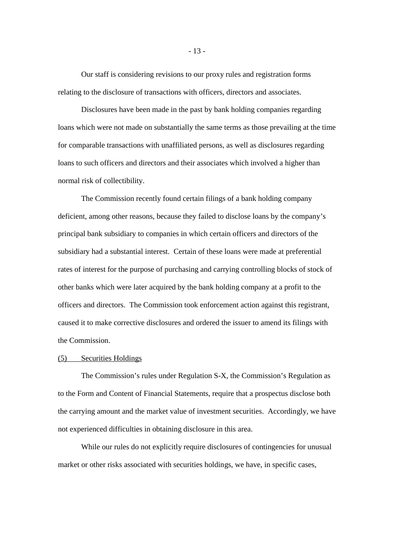Our staff is considering revisions to our proxy rules and registration forms relating to the disclosure of transactions with officers, directors and associates.

Disclosures have been made in the past by bank holding companies regarding loans which were not made on substantially the same terms as those prevailing at the time for comparable transactions with unaffiliated persons, as well as disclosures regarding loans to such officers and directors and their associates which involved a higher than normal risk of collectibility.

The Commission recently found certain filings of a bank holding company deficient, among other reasons, because they failed to disclose loans by the company's principal bank subsidiary to companies in which certain officers and directors of the subsidiary had a substantial interest. Certain of these loans were made at preferential rates of interest for the purpose of purchasing and carrying controlling blocks of stock of other banks which were later acquired by the bank holding company at a profit to the officers and directors. The Commission took enforcement action against this registrant, caused it to make corrective disclosures and ordered the issuer to amend its filings with the Commission.

## (5) Securities Holdings

The Commission's rules under Regulation S-X, the Commission's Regulation as to the Form and Content of Financial Statements, require that a prospectus disclose both the carrying amount and the market value of investment securities. Accordingly, we have not experienced difficulties in obtaining disclosure in this area.

While our rules do not explicitly require disclosures of contingencies for unusual market or other risks associated with securities holdings, we have, in specific cases,

- 13 -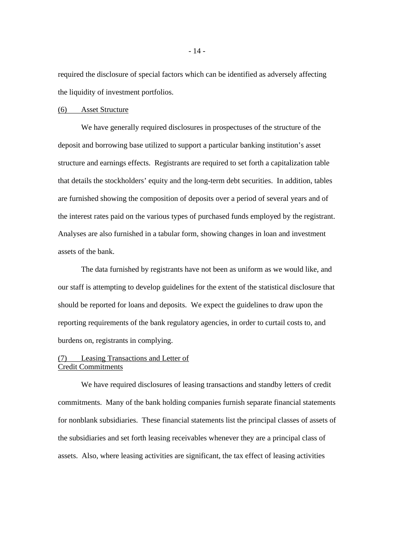required the disclosure of special factors which can be identified as adversely affecting the liquidity of investment portfolios.

### (6) Asset Structure

We have generally required disclosures in prospectuses of the structure of the deposit and borrowing base utilized to support a particular banking institution's asset structure and earnings effects. Registrants are required to set forth a capitalization table that details the stockholders' equity and the long-term debt securities. In addition, tables are furnished showing the composition of deposits over a period of several years and of the interest rates paid on the various types of purchased funds employed by the registrant. Analyses are also furnished in a tabular form, showing changes in loan and investment assets of the bank.

The data furnished by registrants have not been as uniform as we would like, and our staff is attempting to develop guidelines for the extent of the statistical disclosure that should be reported for loans and deposits. We expect the guidelines to draw upon the reporting requirements of the bank regulatory agencies, in order to curtail costs to, and burdens on, registrants in complying.

# (7) Leasing Transactions and Letter of Credit Commitments

We have required disclosures of leasing transactions and standby letters of credit commitments. Many of the bank holding companies furnish separate financial statements for nonblank subsidiaries. These financial statements list the principal classes of assets of the subsidiaries and set forth leasing receivables whenever they are a principal class of assets. Also, where leasing activities are significant, the tax effect of leasing activities